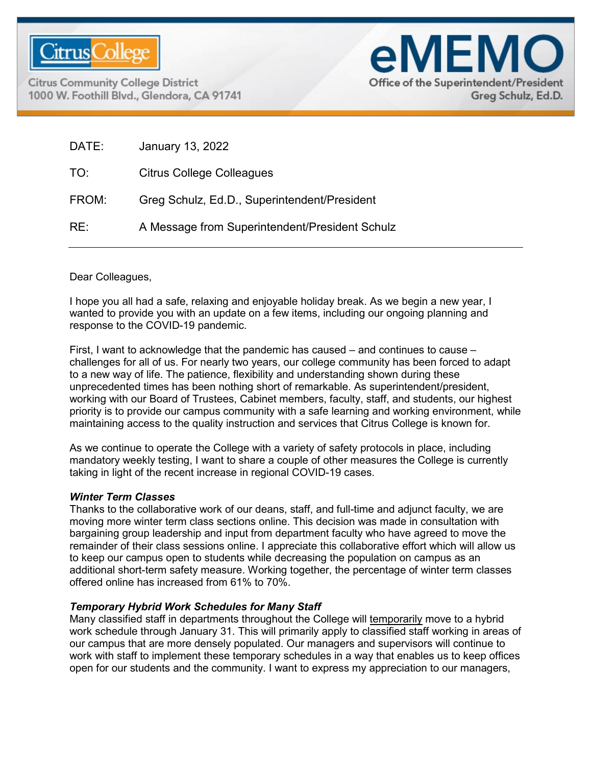

**Citrus Community College District** 1000 W. Foothill Blvd., Glendora, CA 91741



| DATE: | January 13, 2022                               |
|-------|------------------------------------------------|
| TO:   | Citrus College Colleagues                      |
| FROM: | Greg Schulz, Ed.D., Superintendent/President   |
| RE:   | A Message from Superintendent/President Schulz |
|       |                                                |

Dear Colleagues,

I hope you all had a safe, relaxing and enjoyable holiday break. As we begin a new year, I wanted to provide you with an update on a few items, including our ongoing planning and response to the COVID-19 pandemic.

First, I want to acknowledge that the pandemic has caused – and continues to cause – challenges for all of us. For nearly two years, our college community has been forced to adapt to a new way of life. The patience, flexibility and understanding shown during these unprecedented times has been nothing short of remarkable. As superintendent/president, working with our Board of Trustees, Cabinet members, faculty, staff, and students, our highest priority is to provide our campus community with a safe learning and working environment, while maintaining access to the quality instruction and services that Citrus College is known for.

As we continue to operate the College with a variety of safety protocols in place, including mandatory weekly testing, I want to share a couple of other measures the College is currently taking in light of the recent increase in regional COVID-19 cases.

## *Winter Term Classes*

Thanks to the collaborative work of our deans, staff, and full-time and adjunct faculty, we are moving more winter term class sections online. This decision was made in consultation with bargaining group leadership and input from department faculty who have agreed to move the remainder of their class sessions online. I appreciate this collaborative effort which will allow us to keep our campus open to students while decreasing the population on campus as an additional short-term safety measure. Working together, the percentage of winter term classes offered online has increased from 61% to 70%.

## *Temporary Hybrid Work Schedules for Many Staff*

Many classified staff in departments throughout the College will temporarily move to a hybrid work schedule through January 31. This will primarily apply to classified staff working in areas of our campus that are more densely populated. Our managers and supervisors will continue to work with staff to implement these temporary schedules in a way that enables us to keep offices open for our students and the community. I want to express my appreciation to our managers,